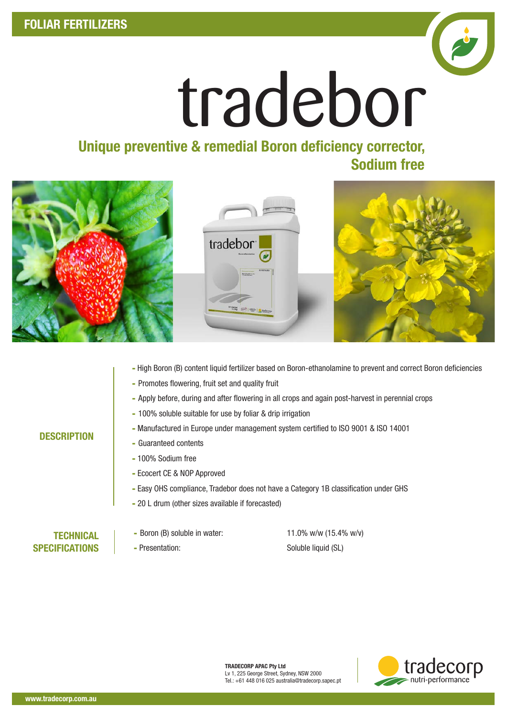

# tradebor

### Unique preventive & remedial Boron deficiency corrector, Sodium free







- High Boron (B) content liquid fertilizer based on Boron-ethanolamine to prevent and correct Boron deficiencies
- Promotes flowering, fruit set and quality fruit
- Apply before, during and after flowering in all crops and again post-harvest in perennial crops
- 100% soluble suitable for use by foliar & drip irrigation
- Manufactured in Europe under management system certified to ISO 9001 & ISO 14001
- Guaranteed contents
- 100% Sodium free
- Ecocert CE & NOP Approved
- Easy OHS compliance, Tradebor does not have a Category 1B classification under GHS
- 20 L drum (other sizes available if forecasted)

#### **TECHNICAL SPECIFICATIONS**

**DESCRIPTION** 

- Boron (B) soluble in water: 11.0% w/w (15.4% w/v)



TRADECORP APAC Pty Ltd Lv 1, 225 George Street, Sydney, NSW 2000 Tel.: +61 448 016 025 australia@tradecorp.sapec.pt